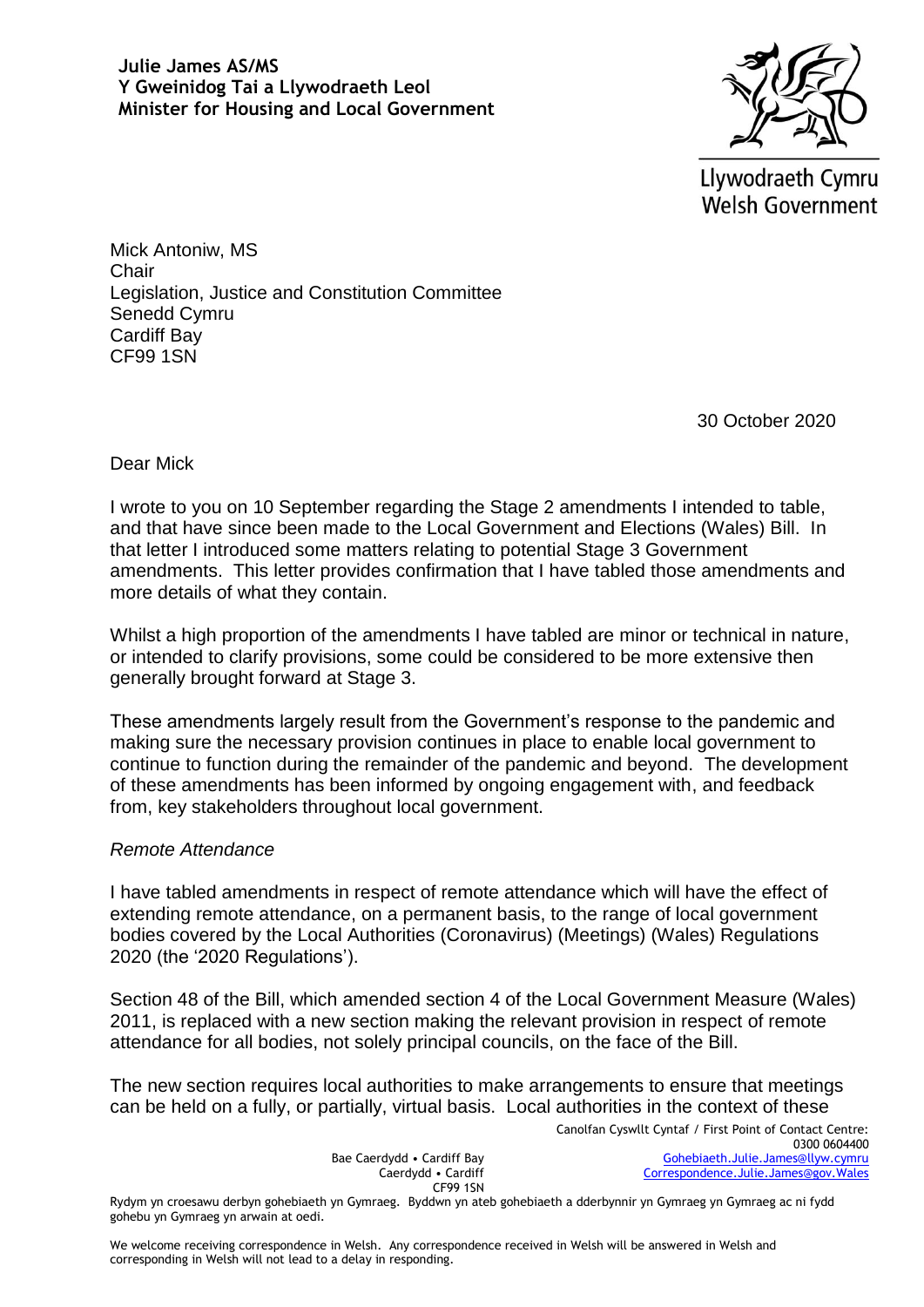

Llywodraeth Cymru **Welsh Government** 

Mick Antoniw, MS **Chair** Legislation, Justice and Constitution Committee Senedd Cymru Cardiff Bay CF99 1SN

30 October 2020

Dear Mick

I wrote to you on 10 September regarding the Stage 2 amendments I intended to table, and that have since been made to the Local Government and Elections (Wales) Bill. In that letter I introduced some matters relating to potential Stage 3 Government amendments. This letter provides confirmation that I have tabled those amendments and more details of what they contain.

Whilst a high proportion of the amendments I have tabled are minor or technical in nature, or intended to clarify provisions, some could be considered to be more extensive then generally brought forward at Stage 3.

These amendments largely result from the Government's response to the pandemic and making sure the necessary provision continues in place to enable local government to continue to function during the remainder of the pandemic and beyond. The development of these amendments has been informed by ongoing engagement with, and feedback from, key stakeholders throughout local government.

## *Remote Attendance*

I have tabled amendments in respect of remote attendance which will have the effect of extending remote attendance, on a permanent basis, to the range of local government bodies covered by the Local Authorities (Coronavirus) (Meetings) (Wales) Regulations 2020 (the '2020 Regulations').

Section 48 of the Bill, which amended section 4 of the Local Government Measure (Wales) 2011, is replaced with a new section making the relevant provision in respect of remote attendance for all bodies, not solely principal councils, on the face of the Bill.

The new section requires local authorities to make arrangements to ensure that meetings can be held on a fully, or partially, virtual basis. Local authorities in the context of these

> Bae Caerdydd • Cardiff Bay Caerdydd • Cardiff CF99 1SN

Canolfan Cyswllt Cyntaf / First Point of Contact Centre: 0300 0604400 [Gohebiaeth.Julie.James@llyw.cymru](mailto:Gohebiaeth.Julie.James@llyw.cymru) [Correspondence.Julie.James@gov.Wales](mailto:Correspondence.Julie.James@gov.Wales)

Rydym yn croesawu derbyn gohebiaeth yn Gymraeg. Byddwn yn ateb gohebiaeth a dderbynnir yn Gymraeg yn Gymraeg ac ni fydd gohebu yn Gymraeg yn arwain at oedi.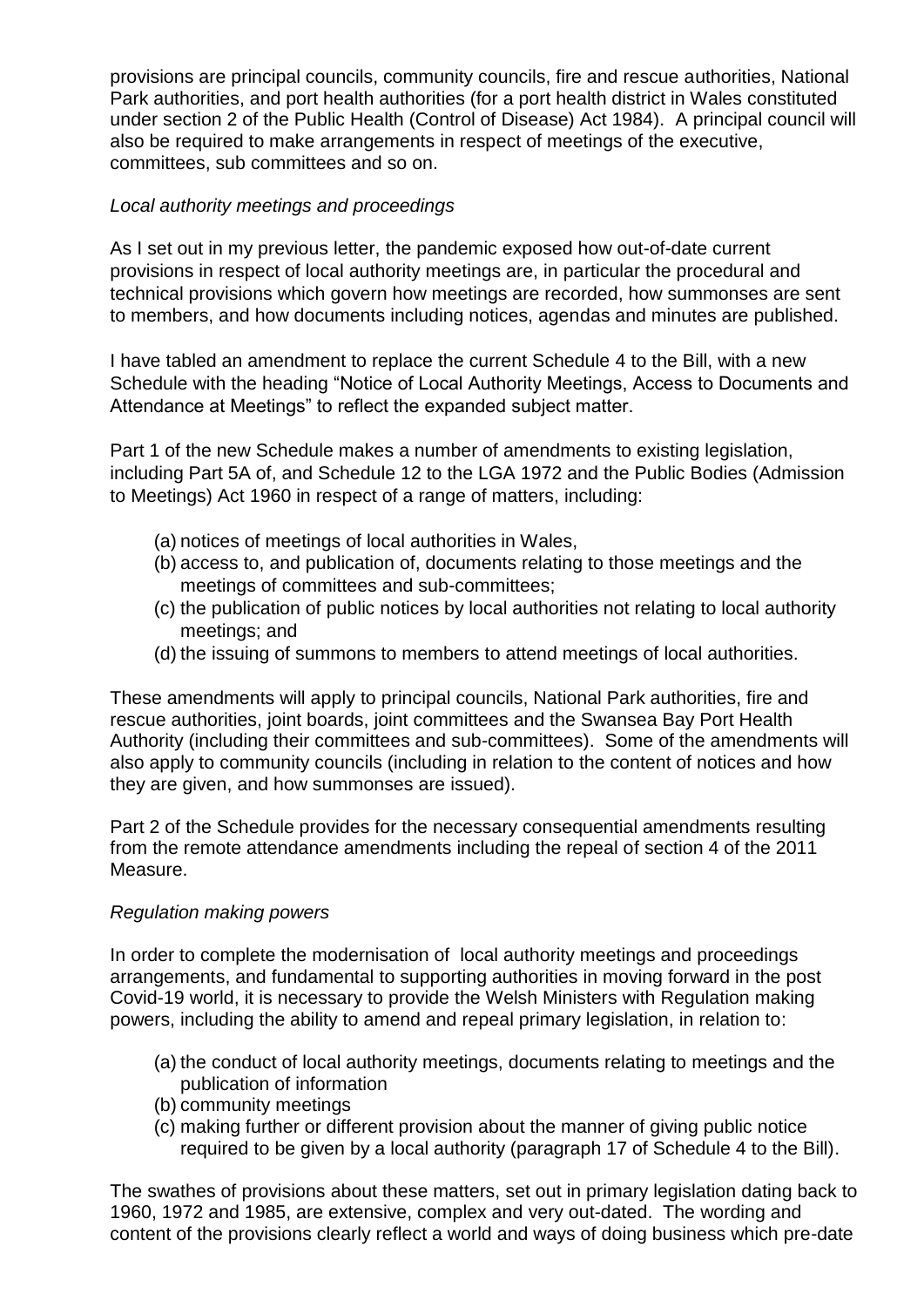provisions are principal councils, community councils, fire and rescue authorities, National Park authorities, and port health authorities (for a port health district in Wales constituted under section 2 of the Public Health (Control of Disease) Act 1984). A principal council will also be required to make arrangements in respect of meetings of the executive, committees, sub committees and so on.

## *Local authority meetings and proceedings*

As I set out in my previous letter, the pandemic exposed how out-of-date current provisions in respect of local authority meetings are, in particular the procedural and technical provisions which govern how meetings are recorded, how summonses are sent to members, and how documents including notices, agendas and minutes are published.

I have tabled an amendment to replace the current Schedule 4 to the Bill, with a new Schedule with the heading "Notice of Local Authority Meetings, Access to Documents and Attendance at Meetings" to reflect the expanded subject matter.

Part 1 of the new Schedule makes a number of amendments to existing legislation, including Part 5A of, and Schedule 12 to the LGA 1972 and the Public Bodies (Admission to Meetings) Act 1960 in respect of a range of matters, including:

- (a) notices of meetings of local authorities in Wales,
- (b) access to, and publication of, documents relating to those meetings and the meetings of committees and sub-committees;
- (c) the publication of public notices by local authorities not relating to local authority meetings; and
- (d) the issuing of summons to members to attend meetings of local authorities.

These amendments will apply to principal councils, National Park authorities, fire and rescue authorities, joint boards, joint committees and the Swansea Bay Port Health Authority (including their committees and sub-committees). Some of the amendments will also apply to community councils (including in relation to the content of notices and how they are given, and how summonses are issued).

Part 2 of the Schedule provides for the necessary consequential amendments resulting from the remote attendance amendments including the repeal of section 4 of the 2011 Measure.

## *Regulation making powers*

In order to complete the modernisation of local authority meetings and proceedings arrangements, and fundamental to supporting authorities in moving forward in the post Covid-19 world, it is necessary to provide the Welsh Ministers with Regulation making powers, including the ability to amend and repeal primary legislation, in relation to:

- (a) the conduct of local authority meetings, documents relating to meetings and the publication of information
- (b) community meetings
- (c) making further or different provision about the manner of giving public notice required to be given by a local authority (paragraph 17 of Schedule 4 to the Bill).

The swathes of provisions about these matters, set out in primary legislation dating back to 1960, 1972 and 1985, are extensive, complex and very out-dated. The wording and content of the provisions clearly reflect a world and ways of doing business which pre-date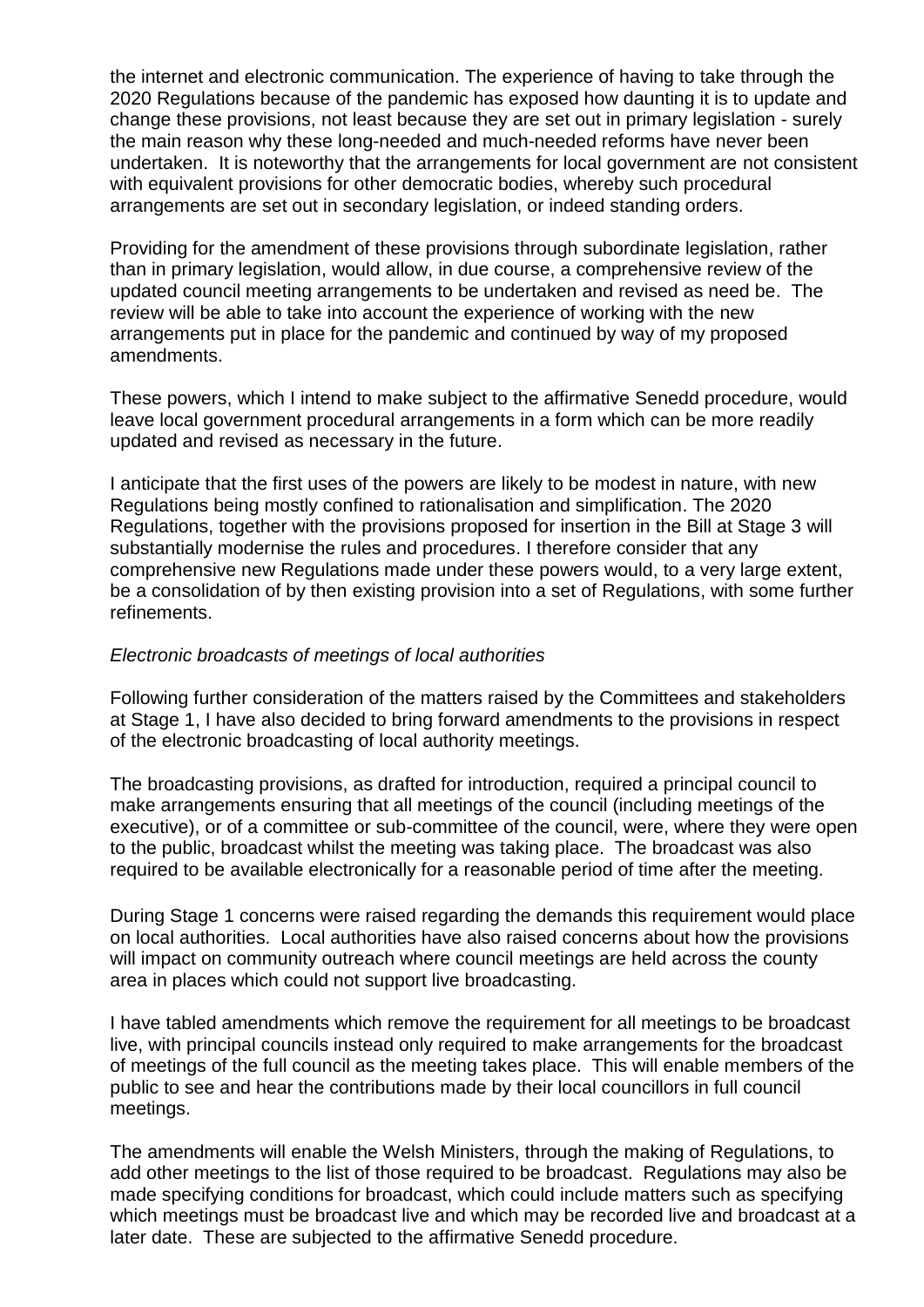the internet and electronic communication. The experience of having to take through the 2020 Regulations because of the pandemic has exposed how daunting it is to update and change these provisions, not least because they are set out in primary legislation - surely the main reason why these long-needed and much-needed reforms have never been undertaken. It is noteworthy that the arrangements for local government are not consistent with equivalent provisions for other democratic bodies, whereby such procedural arrangements are set out in secondary legislation, or indeed standing orders.

Providing for the amendment of these provisions through subordinate legislation, rather than in primary legislation, would allow, in due course, a comprehensive review of the updated council meeting arrangements to be undertaken and revised as need be. The review will be able to take into account the experience of working with the new arrangements put in place for the pandemic and continued by way of my proposed amendments.

These powers, which I intend to make subject to the affirmative Senedd procedure, would leave local government procedural arrangements in a form which can be more readily updated and revised as necessary in the future.

I anticipate that the first uses of the powers are likely to be modest in nature, with new Regulations being mostly confined to rationalisation and simplification. The 2020 Regulations, together with the provisions proposed for insertion in the Bill at Stage 3 will substantially modernise the rules and procedures. I therefore consider that any comprehensive new Regulations made under these powers would, to a very large extent, be a consolidation of by then existing provision into a set of Regulations, with some further refinements.

## *Electronic broadcasts of meetings of local authorities*

Following further consideration of the matters raised by the Committees and stakeholders at Stage 1, I have also decided to bring forward amendments to the provisions in respect of the electronic broadcasting of local authority meetings.

The broadcasting provisions, as drafted for introduction, required a principal council to make arrangements ensuring that all meetings of the council (including meetings of the executive), or of a committee or sub-committee of the council, were, where they were open to the public, broadcast whilst the meeting was taking place. The broadcast was also required to be available electronically for a reasonable period of time after the meeting.

During Stage 1 concerns were raised regarding the demands this requirement would place on local authorities. Local authorities have also raised concerns about how the provisions will impact on community outreach where council meetings are held across the county area in places which could not support live broadcasting.

I have tabled amendments which remove the requirement for all meetings to be broadcast live, with principal councils instead only required to make arrangements for the broadcast of meetings of the full council as the meeting takes place. This will enable members of the public to see and hear the contributions made by their local councillors in full council meetings.

The amendments will enable the Welsh Ministers, through the making of Regulations, to add other meetings to the list of those required to be broadcast. Regulations may also be made specifying conditions for broadcast, which could include matters such as specifying which meetings must be broadcast live and which may be recorded live and broadcast at a later date. These are subjected to the affirmative Senedd procedure.